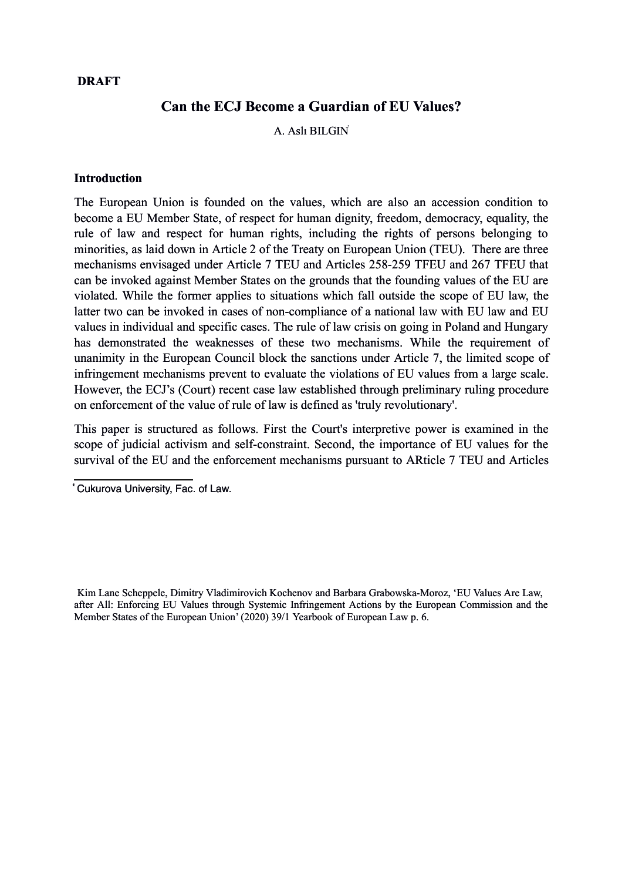#### **DRAFT**

# **Can the ECJ Become a Guardian of EU Values?**

A. Aslı BILGI[N](#page-0-0)⃰

#### **Introduction**

The European Union is founded on the values, which are also an accession condition to become a EU Member State, of respect for human dignity, freedom, democracy, equality, the rule of law and respect for human rights, including the rights of persons belonging to minorities, as laid down in Article 2 of the Treaty on European Union (TEU). There are three mechanisms envisaged under Article 7 TEU and Articles 258-259 TFEU and 267 TFEU that can be invoked against Member States on the grounds that the founding values of the EU are violated. While the former applies to situations which fall outside the scope of EU law, the latter two can be invoked in cases of non-compliance of a national law with EU law and EU values in individual and specific cases. The rule of law crisis on going in Poland and Hungary has demonstrated the weaknesses of these two mechanisms. While the requirement of unanimity in the European Council block the sanctions under Article 7, the limited scope of infringement mechanisms prevent to evaluate the violations of EU values from a large scale. However, the ECJ's (Court) recent case law established through preliminary ruling procedure on enforcement of the value of rule of law is defined as 'truly revolutionary'[.](#page-0-1)

This paper is structured as follows. First the Court's interpretive power is examined in the scope of judicial activism and self-constraint. Second, the importance of EU values for the survival of the EU and the enforcement mechanisms pursuant to ARticle 7 TEU and Articles

<span id="page-0-0"></span>⃰ Cukurova University, Fac. of Law.

<span id="page-0-1"></span>Kim Lane Scheppele, Dimitry Vladimirovich Kochenov and Barbara Grabowska-Moroz, 'EU Values Are Law, after All: Enforcing EU Values through Systemic Infringement Actions by the European Commission and the Member States of the European Union' (2020) 39/1 Yearbook of European Law p. 6.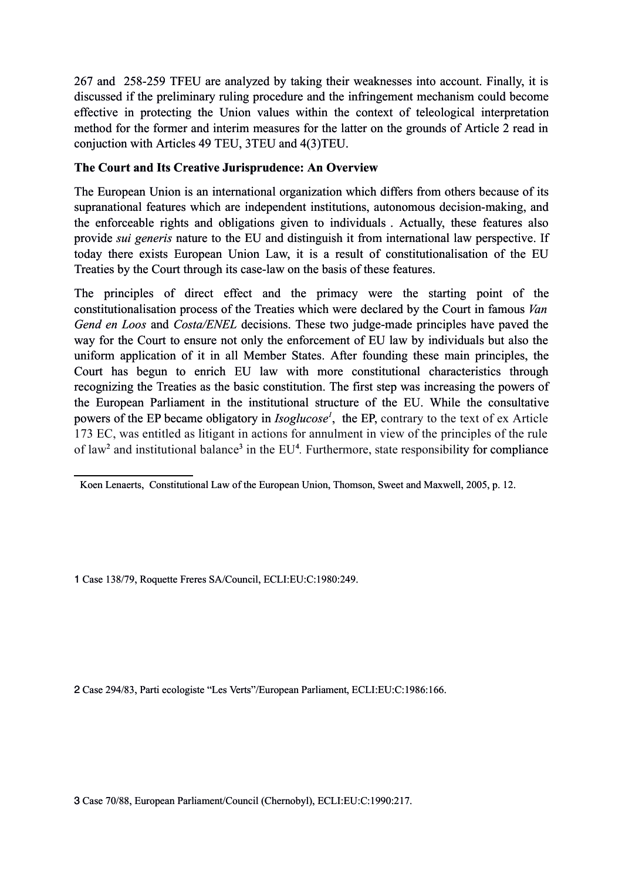267 and 258-259 TFEU are analyzed by taking their weaknesses into account. Finally, it is discussed if the preliminary ruling procedure and the infringement mechanism could become effective in protecting the Union values within the context of teleological interpretation method for the former and interim measures for the latter on the grounds of Article 2 read in conjuction with Articles 49 TEU, 3TEU and 4(3)TEU.

# **The Court and Its Creative Jurisprudence: An Overview**

The European Union is an international organization which differs from others because of its supranational features which are independent institutions, autonomous decision-making, and the enforceable rights and obligations given to individual[s](#page-1-0) . Actually, these features also provide *sui generis* nature to the EU and distinguish it from international law perspective. If today there exists European Union Law, it is a result of constitutionalisation of the EU Treaties by the Court through its case-law on the basis of these features.

The principles of direct effect and the primacy were the starting point of the constitutionalisation process of the Treaties which were declared by the Court in famous *Van Gend en Loos* and *Costa/ENEL* decisions. These two judge-made principles have paved the way for the Court to ensure not only the enforcement of EU law by individuals but also the uniform application of it in all Member States. After founding these main principles, the Court has begun to enrich EU law with more constitutional characteristics through recognizing the Treaties as the basic constitution. The first step was increasing the powers of the European Parliament in the institutional structure of the EU. While the consultative powers of the EP became obligatory in *Isoglucose[1](#page-1-1)* , the EP, contrary to the text of ex Article 173 EC, was entitled as litigant in actions for annulment in view of the principles of the rule of law<sup>[2](#page-1-2)</sup> and institutional balance<sup>[3](#page-1-3)</sup> in the EU<sup>4</sup>. Furthermore, state responsibility for compliance

<span id="page-1-1"></span>1 Case 138/79, Roquette Freres SA/Council, ECLI:EU:C:1980:249.

<span id="page-1-2"></span>2 Case 294/83, Parti ecologiste "Les Verts"/European Parliament, ECLI:EU:C:1986:166.

<span id="page-1-3"></span>3 Case 70/88, European Parliament/Council (Chernobyl), ECLI:EU:C:1990:217.

<span id="page-1-0"></span>Koen Lenaerts, Constitutional Law of the European Union, Thomson, Sweet and Maxwell, 2005, p. 12.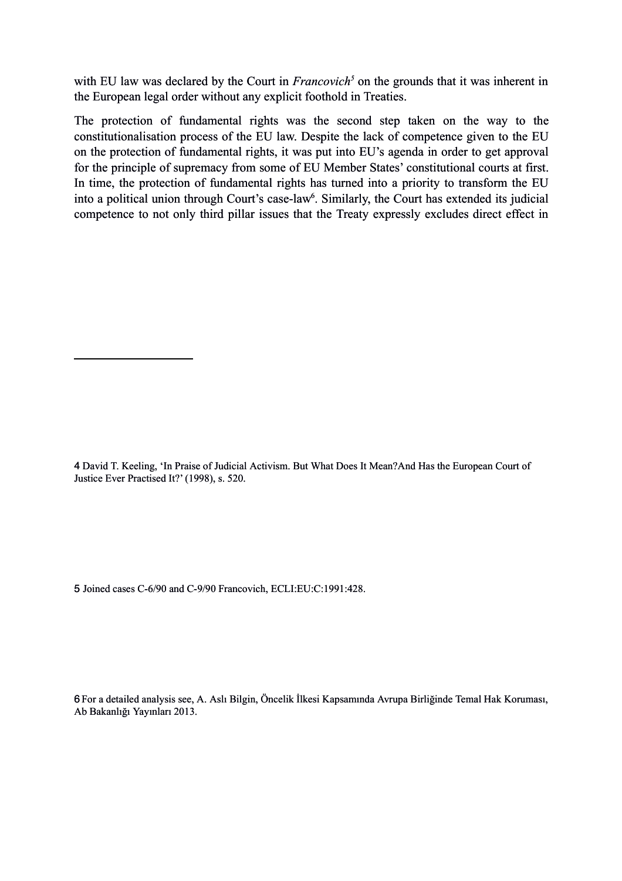with EU law was declared by the Court in *Francovich<sup>[5](#page-2-0)</sup>* on the grounds that it was inherent in the European legal order without any explicit foothold in Treaties.

The protection of fundamental rights was the second step taken on the way to the constitutionalisation process of the EU law. Despite the lack of competence given to the EU on the protection of fundamental rights, it was put into EU's agenda in order to get approval for the principle of supremacy from some of EU Member States' constitutional courts at first. In time, the protection of fundamental rights has turned into a priority to transform the EU into a political union through Court's case-law<sup>[6](#page-2-1)</sup>. Similarly, the Court has extended its judicial competence to not only third pillar issues that the Treaty expressly excludes direct effect in

4 David T. Keeling, 'In Praise of Judicial Activism. But What Does It Mean?And Has the European Court of Justice Ever Practised It?' (1998), s. 520.

<span id="page-2-0"></span>5 Joined cases C-6/90 and C-9/90 Francovich, ECLI:EU:C:1991:428.

<span id="page-2-1"></span>6For a detailed analysis see, A. Aslı Bilgin, Öncelik İlkesi Kapsamında Avrupa Birliğinde Temal Hak Koruması, Ab Bakanlığı Yayınları 2013.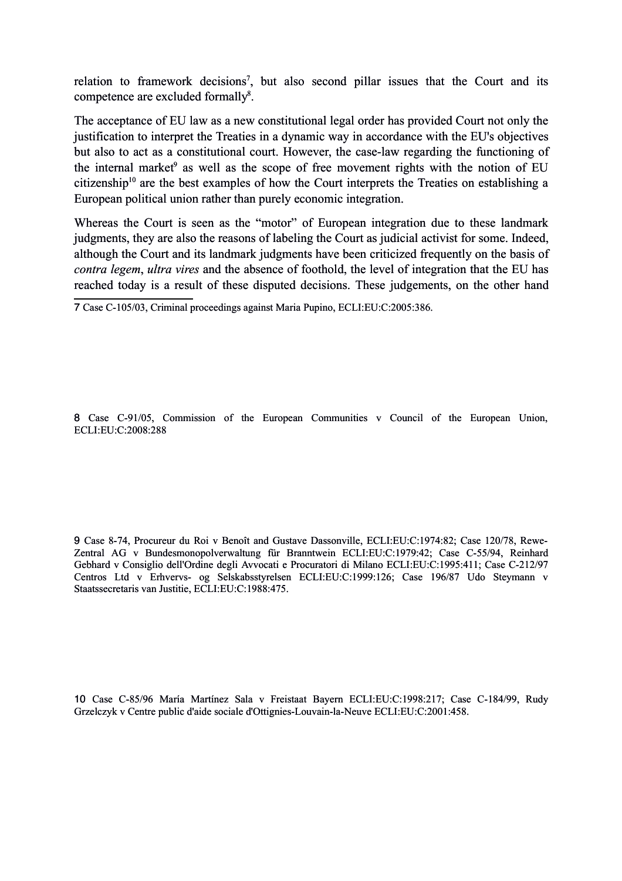relation to framework decisions<sup>[7](#page-3-0)</sup>, but also second pillar issues that the Court and its competence are excluded formally<sup>[8](#page-3-1)</sup>.

The acceptance of EU law as a new constitutional legal order has provided Court not only the justification to interpret the Treaties in a dynamic way in accordance with the EU's objectives but also to act as a constitutional court. However, the case-law regarding the functioning of the internal market<sup>[9](#page-3-2)</sup> as well as the scope of free movement rights with the notion of EU citizenship<sup>[10](#page-3-3)</sup> are the best examples of how the Court interprets the Treaties on establishing a European political union rather than purely economic integration.

Whereas the Court is seen as the "motor" of European integration due to these landmark judgments, they are also the reasons of labeling the Court as judicial activist for some. Indeed, although the Court and its landmark judgments have been criticized frequently on the basis of *contra legem*, *ultra vires* and the absence of foothold, the level of integration that the EU has reached today is a result of these disputed decisions. These judgements, on the other hand

<span id="page-3-0"></span>7 Case C-105/03, Criminal proceedings against Maria Pupino, ECLI:EU:C:2005:386.

<span id="page-3-1"></span>8 Case C-91/05, Commission of the European Communities v Council of the European Union, ECLI:EU:C:2008:288

<span id="page-3-2"></span>9 Case 8-74, Procureur du Roi v Benoît and Gustave Dassonville, ECLI:EU:C:1974:82; Case 120/78, Rewe-Zentral AG v Bundesmonopolverwaltung für Branntwein ECLI:EU:C:1979:42; Case C-55/94, Reinhard Gebhard v Consiglio dell'Ordine degli Avvocati e Procuratori di Milano ECLI:EU:C:1995:411; Case C-212/97 Centros Ltd v Erhvervs- og Selskabsstyrelsen ECLI:EU:C:1999:126; Case 196/87 Udo Steymann v Staatssecretaris van Justitie, ECLI:EU:C:1988:475.

<span id="page-3-3"></span>10 Case C-85/96 María Martínez Sala v Freistaat Bayern ECLI:EU:C:1998:217; Case C-184/99, Rudy Grzelczyk v Centre public d'aide sociale d'Ottignies-Louvain-la-Neuve ECLI:EU:C:2001:458.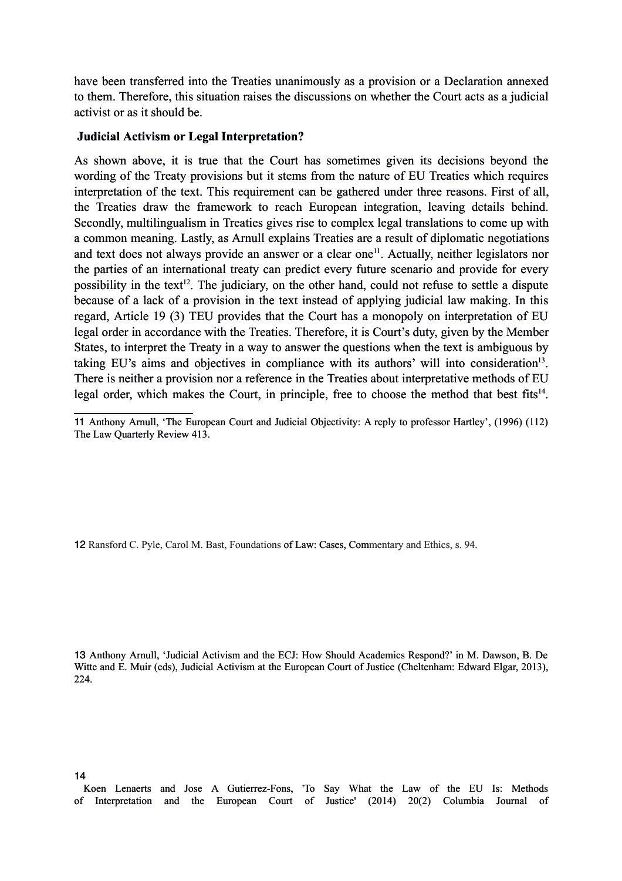have been transferred into the Treaties unanimously as a provision or a Declaration annexed to them. Therefore, this situation raises the discussions on whether the Court acts as a judicial activist or as it should be.

### **Judicial Activism or Legal Interpretation?**

As shown above, it is true that the Court has sometimes given its decisions beyond the wording of the Treaty provisions but it stems from the nature of EU Treaties which requires interpretation of the text. This requirement can be gathered under three reasons. First of all, the Treaties draw the framework to reach European integration, leaving details behind. Secondly, multilingualism in Treaties gives rise to complex legal translations to come up with a common meaning. Lastly, as Arnull explains Treaties are a result of diplomatic negotiations and text does not always provide an answer or a clear one<sup>[11](#page-4-0)</sup>. Actually, neither legislators nor the parties of an international treaty can predict every future scenario and provide for every possibility in the text<sup>[12](#page-4-1)</sup>. The judiciary, on the other hand, could not refuse to settle a dispute because of a lack of a provision in the text instead of applying judicial law making. In this regard, Article 19 (3) TEU provides that the Court has a monopoly on interpretation of EU legal order in accordance with the Treaties. Therefore, it is Court's duty, given by the Member States, to interpret the Treaty in a way to answer the questions when the text is ambiguous by taking EU's aims and objectives in compliance with its authors' will into consideration<sup>[13](#page-4-2)</sup>. There is neither a provision nor a reference in the Treaties about interpretative methods of EU legal order, which makes the Court, in principle, free to choose the method that best fits $14$ .

<span id="page-4-1"></span>12 Ransford C. Pyle, Carol M. Bast, Foundations of Law: Cases, Commentary and Ethics, s. 94.

<span id="page-4-2"></span>13 Anthony Arnull, 'Judicial Activism and the ECJ: How Should Academics Respond?' in M. Dawson, B. De Witte and E. Muir (eds), Judicial Activism at the European Court of Justice (Cheltenham: Edward Elgar, 2013), 224.

<span id="page-4-0"></span><sup>11</sup> Anthony Arnull, 'The European Court and Judicial Objectivity: A reply to professor Hartley', (1996) (112) The Law Quarterly Review 413.

<span id="page-4-3"></span>Koen Lenaerts and Jose A Gutierrez-Fons, 'To Say What the Law of the EU Is: Methods of Interpretation and the European Court of Justice' (2014) 20(2) Columbia Journal of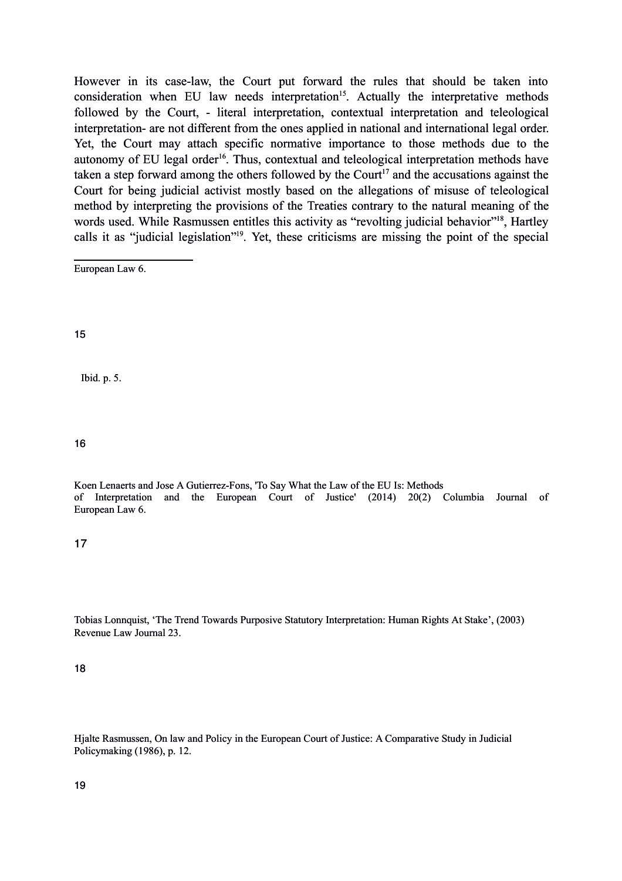However in its case-law, the Court put forward the rules that should be taken into consideration when EU law needs interpretation<sup>[15](#page-5-0)</sup>. Actually the interpretative methods followed by the Court, - literal interpretation, contextual interpretation and teleological interpretation- are not different from the ones applied in national and international legal order. Yet, the Court may attach specific normative importance to those methods due to the autonomy of EU legal order<sup>[16](#page-5-1)</sup>. Thus, contextual and teleological interpretation methods have taken a step forward among the others followed by the Court<sup>[17](#page-5-2)</sup> and the accusations against the Court for being judicial activist mostly based on the allegations of misuse of teleological method by interpreting the provisions of the Treaties contrary to the natural meaning of the words used. While Rasmussen entitles this activity as "revolting judicial behavior"<sup>[18](#page-5-3)</sup>, Hartley calls it as "judicial legislation"[19](#page-5-4). Yet, these criticisms are missing the point of the special

European Law 6.

<span id="page-5-0"></span>15

Ibid. p. 5.

<span id="page-5-1"></span>16

Koen Lenaerts and Jose A Gutierrez-Fons, 'To Say What the Law of the EU Is: Methods of Interpretation and the European Court of Justice' (2014) 20(2) Columbia Journal of European Law 6.

<span id="page-5-2"></span>17

Tobias Lonnquist, 'The Trend Towards Purposive Statutory Interpretation: Human Rights At Stake', (2003) Revenue Law Journal 23.

<span id="page-5-3"></span>18

<span id="page-5-4"></span>Hjalte Rasmussen, On law and Policy in the European Court of Justice: A Comparative Study in Judicial Policymaking (1986), p. 12.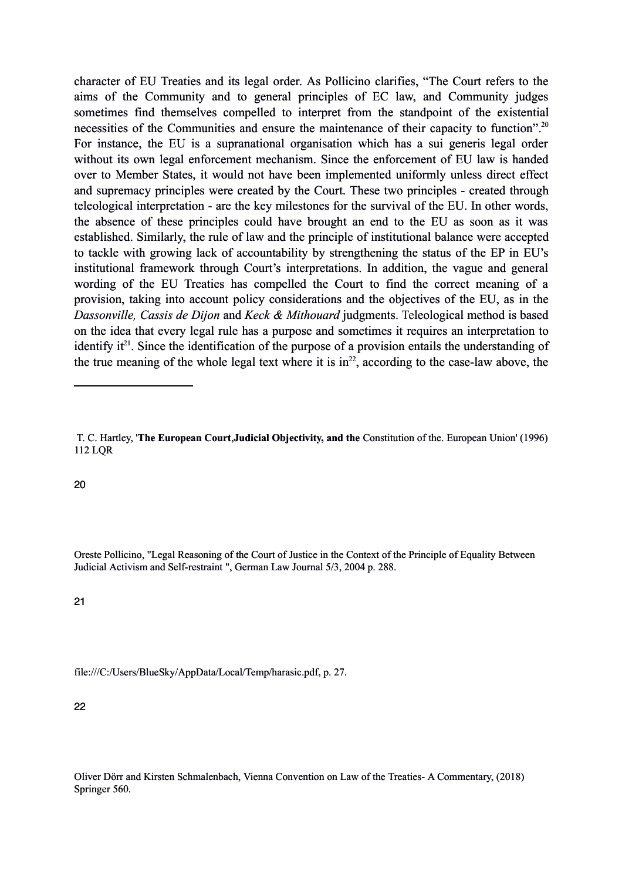character of EU Treaties and its legal order. As Pollicino clarifies, "The Court refers to the aims of the Community and to general principles of EC law, and Community judges sometimes find themselves compelled to interpret from the standpoint of the existential necessities of the Communities and ensure the maintenance of their capacity to function".<sup>[20](#page-6-0)</sup> For instance, the EU is a supranational organisation which has a sui generis legal order without its own legal enforcement mechanism. Since the enforcement of EU law is handed over to Member States, it would not have been implemented uniformly unless direct effect and supremacy principles were created by the Court. These two principles - created through teleological interpretation - are the key milestones for the survival of the EU. In other words, the absence of these principles could have brought an end to the EU as soon as it was established. Similarly, the rule of law and the principle of institutional balance were accepted to tackle with growing lack of accountability by strengthening the status of the EP in EU's institutional framework through Court's interpretations. In addition, the vague and general wording of the EU Treaties has compelled the Court to find the correct meaning of a provision, taking into account policy considerations and the objectives of the EU, as in the *Dassonville, Cassis de Dijon* and *Keck & Mithouard* judgments. Teleological method is based on the idea that every legal rule has a purpose and sometimes it requires an interpretation to identify  $it^{21}$  $it^{21}$  $it^{21}$ . Since the identification of the purpose of a provision entails the understanding of the true meaning of the whole legal text where it is  $in^{22}$  $in^{22}$  $in^{22}$ , according to the case-law above, the

<span id="page-6-0"></span>20

Oreste Pollicino, "Legal Reasoning of the Court of Justice in the Context of the Principle of Equality Between Judicial Activism and Self-restraint ", German Law Journal 5/3, 2004 p. 288.

<span id="page-6-1"></span>21

file:///C:/Users/BlueSky/AppData/Local/Temp/harasic.pdf, p. 27.

<span id="page-6-2"></span>22

Oliver Dörr and Kirsten Schmalenbach, Vienna Convention on Law of the Treaties- A Commentary, (2018) Springer 560.

T. C. Hartley, '**The European Court**,**Judicial Objectivity, and the** Constitution of the. European Union' (1996) 112 LQR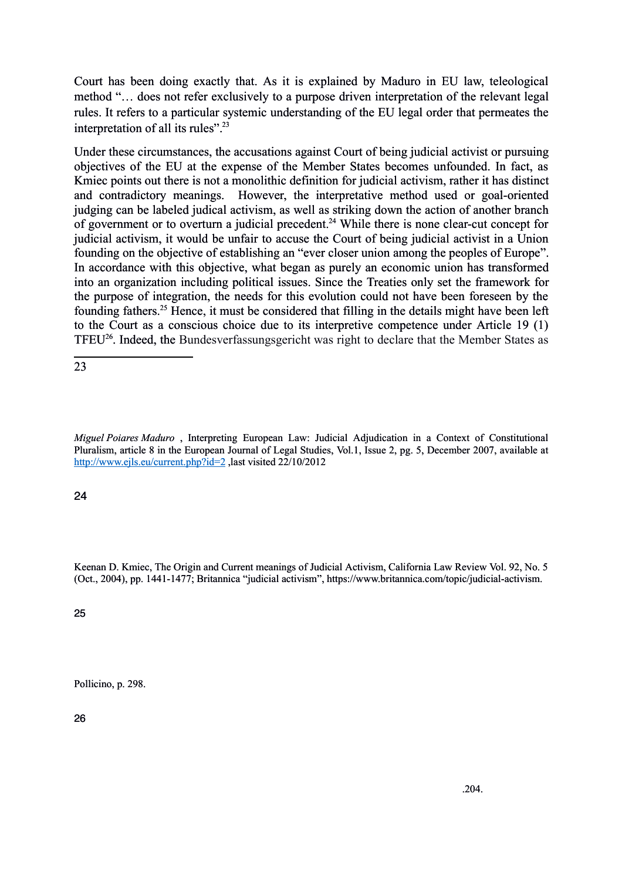Court has been doing exactly that. As it is explained by Maduro in EU law, teleological method "… does not refer exclusively to a purpose driven interpretation of the relevant legal rules. It refers to a particular systemic understanding of the EU legal order that permeates the interpretation of all its rules".<sup>[23](#page-7-0)</sup>

Under these circumstances, the accusations against Court of being judicial activist or pursuing objectives of the EU at the expense of the Member States becomes unfounded. In fact, as Kmiec points out there is not a monolithic definition for judicial activism, rather it has distinct and contradictory meanings. However, the interpretative method used or goal-oriented judging can be labeled judical activism, as well as striking down the action of another branch of government or to overturn a judicial precedent.<sup>[24](#page-7-1)</sup> While there is none clear-cut concept for judicial activism, it would be unfair to accuse the Court of being judicial activist in a Union founding on the objective of establishing an "ever closer union among the peoples of Europe". In accordance with this objective, what began as purely an economic union has transformed into an organization including political issues. Since the Treaties only set the framework for the purpose of integration, the needs for this evolution could not have been foreseen by the founding fathers.[25](#page-7-2) Hence, it must be considered that filling in the details might have been left to the Court as a conscious choice due to its interpretive competence under Article 19 (1) TFEU[26](#page-7-3). Indeed, the Bundesverfassungsgericht was right to declare that the Member States as

<span id="page-7-0"></span>23

*Miguel Poiares Maduro* , Interpreting European Law: Judicial Adjudication in a Context of Constitutional Pluralism, article 8 in the European Journal of Legal Studies, Vol.1, Issue 2, pg. 5, December 2007, available at [http://www.ejls.eu/current.php?id=2](about:blank) ,last visited 22/10/2012

<span id="page-7-1"></span>24

Keenan D. Kmiec, The Origin and Current meanings of Judicial Activism, California Law Review Vol. 92, No. 5 (Oct., 2004), pp. 1441-1477; Britannica "judicial activism", https://www.britannica.com/topic/judicial-activism.

<span id="page-7-2"></span>25

<span id="page-7-3"></span>Pollicino, p. 298.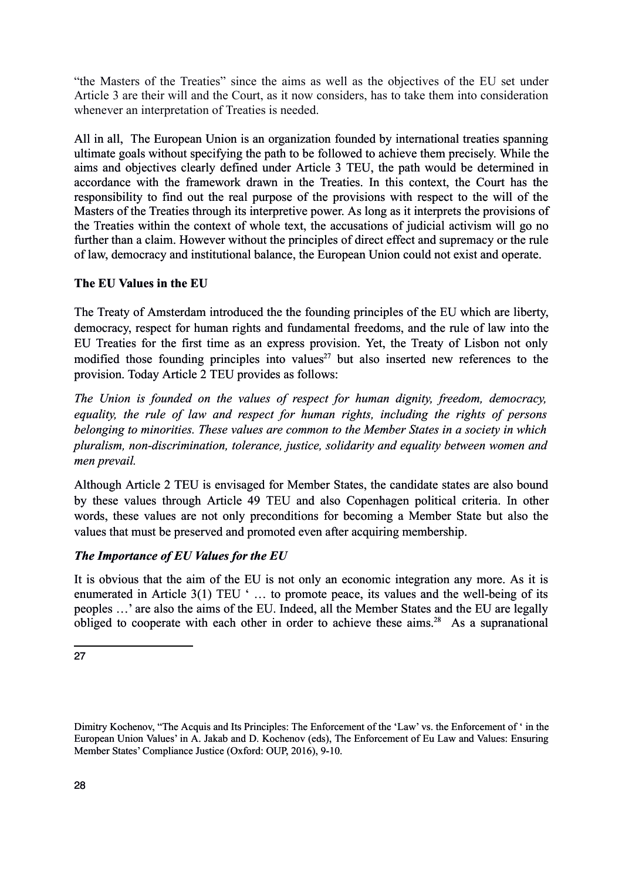"the Masters of the Treaties" since the aims as well as the objectives of the EU set under Article 3 are their will and the Court, as it now considers, has to take them into consideration whenever an interpretation of Treaties is needed.

All in all, The European Union is an organization founded by international treaties spanning ultimate goals without specifying the path to be followed to achieve them precisely. While the aims and objectives clearly defined under Article 3 TEU, the path would be determined in accordance with the framework drawn in the Treaties. In this context, the Court has the responsibility to find out the real purpose of the provisions with respect to the will of the Masters of the Treaties through its interpretive power. As long as it interprets the provisions of the Treaties within the context of whole text, the accusations of judicial activism will go no further than a claim. However without the principles of direct effect and supremacy or the rule of law, democracy and institutional balance, the European Union could not exist and operate.

## **The EU Values in the EU**

The Treaty of Amsterdam introduced the the founding principles of the EU which are liberty, democracy, respect for human rights and fundamental freedoms, and the rule of law into the EU Treaties for the first time as an express provision. Yet, the Treaty of Lisbon not only modified those founding principles into values<sup>[27](#page-8-0)</sup> but also inserted new references to the provision. Today Article 2 TEU provides as follows:

*The Union is founded on the values of respect for human dignity, freedom, democracy, equality, the rule of law and respect for human rights, including the rights of persons belonging to minorities. These values are common to the Member States in a society in which pluralism, non-discrimination, tolerance, justice, solidarity and equality between women and men prevail.*

Although Article 2 TEU is envisaged for Member States, the candidate states are also bound by these values through Article 49 TEU and also Copenhagen political criteria. In other words, these values are not only preconditions for becoming a Member State but also the values that must be preserved and promoted even after acquiring membership.

# *The Importance of EU Values for the EU*

It is obvious that the aim of the EU is not only an economic integration any more. As it is enumerated in Article 3(1) TEU ' … to promote peace, its values and the well-being of its peoples …' are also the aims of the EU. Indeed, all the Member States and the EU are legally obliged to cooperate with each other in order to achieve these aims.<sup>[28](#page-8-1)</sup> As a supranational

<span id="page-8-1"></span><span id="page-8-0"></span>Dimitry Kochenov, "The Acquis and Its Principles: The Enforcement of the 'Law' vs. the Enforcement of ' in the European Union Values' in A. Jakab and D. Kochenov (eds), The Enforcement of Eu Law and Values: Ensuring Member States' Compliance Justice (Oxford: OUP, 2016), 9-10.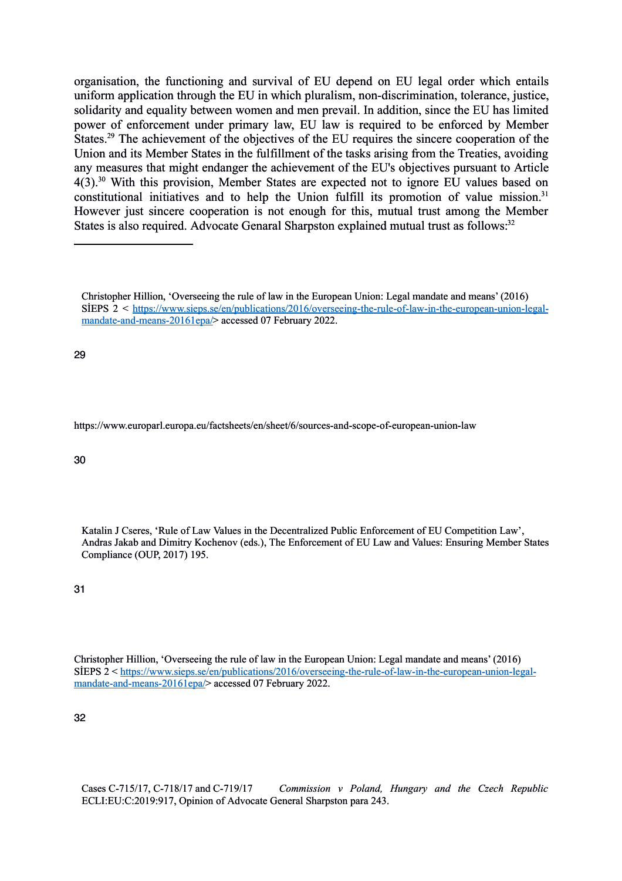organisation, the functioning and survival of EU depend on EU legal order which entails uniform application through the EU in which pluralism, non-discrimination, tolerance, justice, solidarity and equality between women and men prevail. In addition, since the EU has limited power of enforcement under primary law, EU law is required to be enforced by Member States.<sup>[29](#page-9-0)</sup> The achievement of the objectives of the EU requires the sincere cooperation of the Union and its Member States in the fulfillment of the tasks arising from the Treaties, avoiding any measures that might endanger the achievement of the EU's objectives pursuant to Article 4(3).[30](#page-9-1) With this provision, Member States are expected not to ignore EU values based on constitutional initiatives and to help the Union fulfill its promotion of value mission.<sup>[31](#page-9-2)</sup> However just sincere cooperation is not enough for this, mutual trust among the Member States is also required. Advocate Genaral Sharpston explained mutual trust as follows.<sup>[32](#page-9-3)</sup>

<span id="page-9-0"></span>29

https://www.europarl.europa.eu/factsheets/en/sheet/6/sources-and-scope-of-european-union-law

#### <span id="page-9-1"></span>30

Katalin J Cseres, 'Rule of Law Values in the Decentralized Public Enforcement of EU Competition Law', Andras Jakab and Dimitry Kochenov (eds.), The Enforcement of EU Law and Values: Ensuring Member States Compliance (OUP, 2017) 195.

<span id="page-9-2"></span>31

Christopher Hillion, 'Overseeing the rule of law in the European Union: Legal mandate and means' (2016) SİEPS 2 < [https://www.sieps.se/en/publications/2016/overseeing-the-rule-of-law-in-the-european-union-legal](about:blank)[mandate-and-means-20161epa/>](about:blank) accessed 07 February 2022.

<span id="page-9-3"></span>32

Cases C-715/17, C-718/17 and C-719/17 *Commission v Poland, Hungary and the Czech Republic* ECLI:EU:C:2019:917, Opinion of Advocate General Sharpston para 243.

Christopher Hillion, 'Overseeing the rule of law in the European Union: Legal mandate and means' (2016) SİEPS 2 < [https://www.sieps.se/en/publications/2016/overseeing-the-rule-of-law-in-the-european-union-legal](about:blank)[mandate-and-means-20161epa/>](about:blank) accessed 07 February 2022.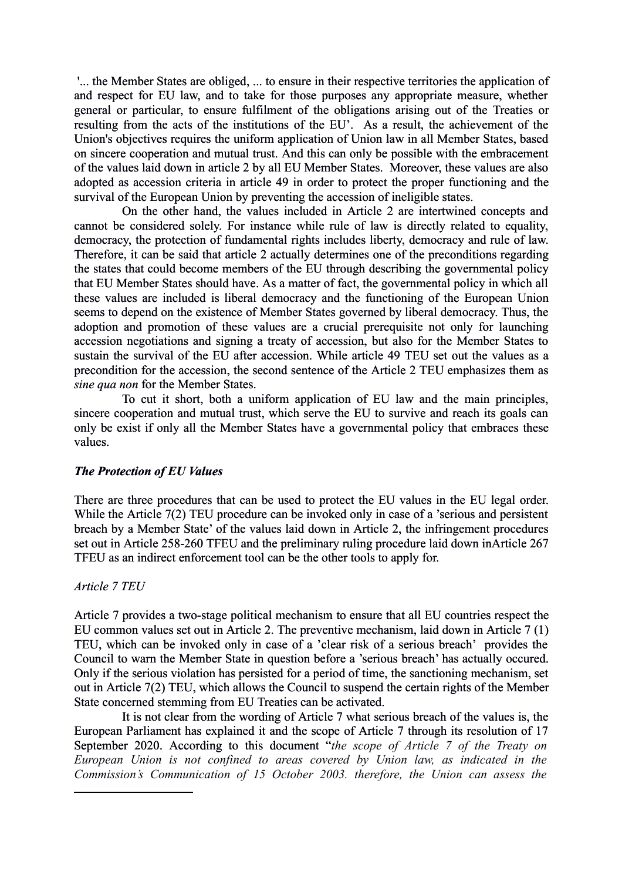'... the Member States are obliged, ... to ensure in their respective territories the application of and respect for EU law, and to take for those purposes any appropriate measure, whether general or particular, to ensure fulfilment of the obligations arising out of the Treaties or resulting from the acts of the institutions of the EU'. As a result, the achievement of the Union's objectives requires the uniform application of Union law in all Member States, based on sincere cooperation and mutual trust. And this can only be possible with the embracement of the values laid down in article 2 by all EU Member States. Moreover, these values are also adopted as accession criteria in article 49 in order to protect the proper functioning and the survival of the European Union by preventing the accession of ineligible states.

On the other hand, the values included in Article 2 are intertwined concepts and cannot be considered solely. For instance while rule of law is directly related to equality, democracy, the protection of fundamental rights includes liberty, democracy and rule of law. Therefore, it can be said that article 2 actually determines one of the preconditions regarding the states that could become members of the EU through describing the governmental policy that EU Member States should have. As a matter of fact, the governmental policy in which all these values are included is liberal democracy and the functioning of the European Union seems to depend on the existence of Member States governed by liberal democracy. Thus, the adoption and promotion of these values are a crucial prerequisite not only for launching accession negotiations and signing a treaty of accession, but also for the Member States to sustain the survival of the EU after accession. While article 49 TEU set out the values as a precondition for the accession, the second sentence of the Article 2 TEU emphasizes them as *sine qua non* for the Member States.

To cut it short, both a uniform application of EU law and the main principles, sincere cooperation and mutual trust, which serve the EU to survive and reach its goals can only be exist if only all the Member States have a governmental policy that embraces these values.

### *The Protection of EU Values*

There are three procedures that can be used to protect the EU values in the EU legal order. While the Article 7(2) TEU procedure can be invoked only in case of a 'serious and persistent breach by a Member State' of the values laid down in Article 2, the infringement procedures set out in Article 258-260 TFEU and the preliminary ruling procedure laid down inArticle 267 TFEU as an indirect enforcement tool can be the other tools to apply for.

#### *Article 7 TEU*

Article 7 provides a two-stage political mechanism to ensure that all EU countries respect the EU common values set out in Article 2. The preventive mechanism, laid down in Article 7 (1) TEU, which can be invoked only in case of a 'clear risk of a serious breach' provides the Council to warn the Member State in question before a 'serious breach' has actually occured. Only if the serious violation has persisted for a period of time, the sanctioning mechanism, set out in Article 7(2) TEU, which allows the Council to suspend the certain rights of the Member State concerned stemming from EU Treaties can be activated.

It is not clear from the wording of Article 7 what serious breach of the values is, the European Parliament has explained it and the scope of Article 7 through its resolution of 17 September 2020. According to this document "*the scope of Article 7 of the Treaty on European Union is not confined to areas covered by Union law, as indicated in the Commission's Communication of 15 October 2003. therefore, the Union can assess the*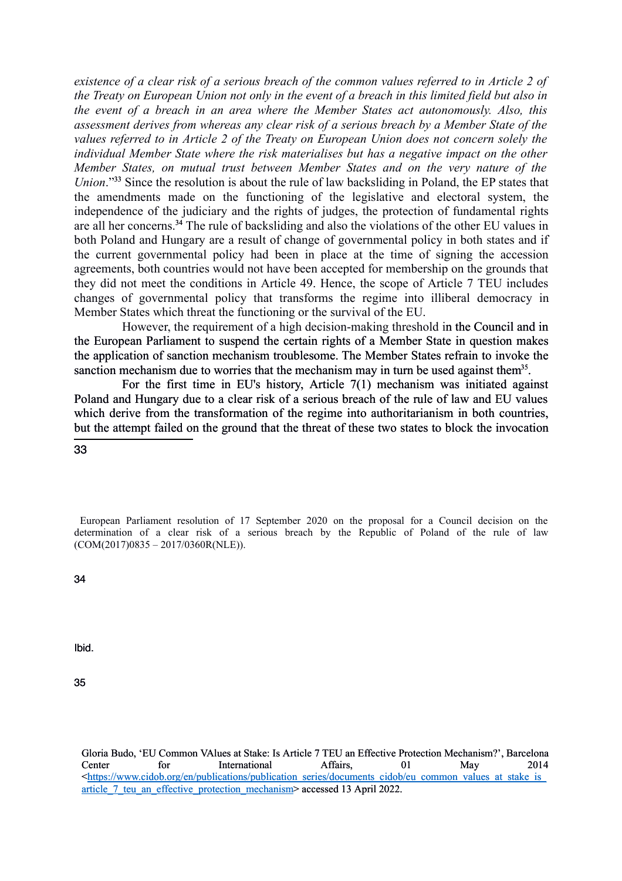*existence of a clear risk of a serious breach of the common values referred to in Article 2 of the Treaty on European Union not only in the event of a breach in this limited field but also in the event of a breach in an area where the Member States act autonomously. Also, this assessment derives from whereas any clear risk of a serious breach by a Member State of the values referred to in Article 2 of the Treaty on European Union does not concern solely the individual Member State where the risk materialises but has a negative impact on the other Member States, on mutual trust between Member States and on the very nature of the Union*."<sup>[33](#page-11-0)</sup> Since the resolution is about the rule of law backsliding in Poland, the EP states that the amendments made on the functioning of the legislative and electoral system, the independence of the judiciary and the rights of judges, the protection of fundamental rights are all her concerns.[34](#page-11-1) The rule of backsliding and also the violations of the other EU values in both Poland and Hungary are a result of change of governmental policy in both states and if the current governmental policy had been in place at the time of signing the accession agreements, both countries would not have been accepted for membership on the grounds that they did not meet the conditions in Article 49. Hence, the scope of Article 7 TEU includes changes of governmental policy that transforms the regime into illiberal democracy in Member States which threat the functioning or the survival of the EU.

However, the requirement of a high decision-making threshold in the Council and in the European Parliament to suspend the certain rights of a Member State in question makes the application of sanction mechanism troublesome. The Member States refrain to invoke the sanction mechanism due to worries that the mechanism may in turn be used against them<sup>[35](#page-11-2)</sup>.

For the first time in EU's history, Article 7(1) mechanism was initiated against Poland and Hungary due to a clear risk of a serious breach of the rule of law and EU values which derive from the transformation of the regime into authoritarianism in both countries, but the attempt failed on the ground that the threat of these two states to block the invocation

#### <span id="page-11-0"></span>33

European Parliament resolution of 17 September 2020 on the proposal for a Council decision on the determination of a clear risk of a serious breach by the Republic of Poland of the rule of law [\(COM\(2017\)0835](about:blank) – [2017/0360R\(NLE\)\)](about:blank).

<span id="page-11-1"></span>34

Ibid.

<span id="page-11-2"></span>35

Gloria Budo, 'EU Common VAlues at Stake: Is Article 7 TEU an Effective Protection Mechanism?', Barcelona Center for International Affairs, 01 May 2014 [<https://www.cidob.org/en/publications/publication\\_series/documents\\_cidob/eu\\_common\\_values\\_at\\_stake\\_is\\_](about:blank) article 7 teu an effective protection mechanism> accessed 13 April 2022.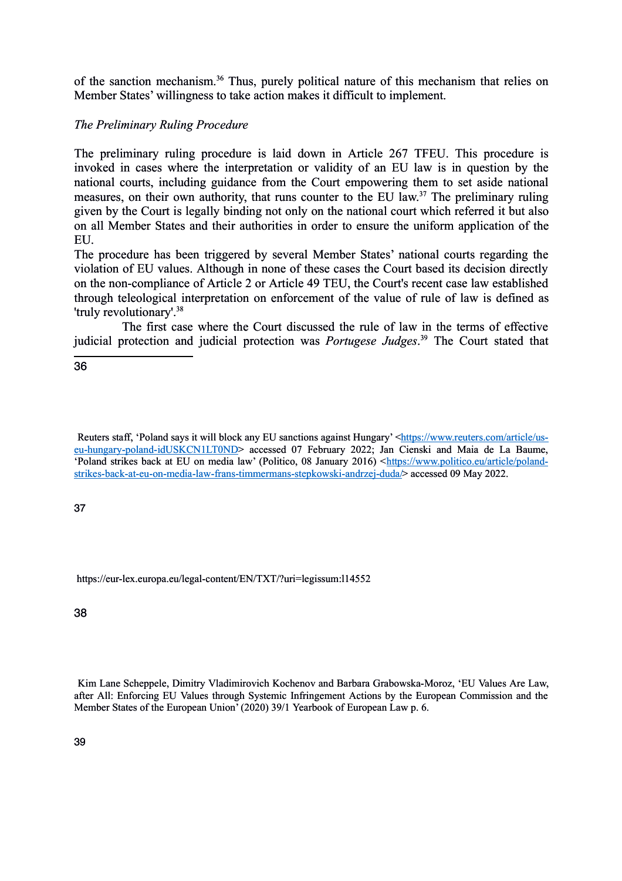of the sanction mechanism. [36](#page-12-0) Thus, purely political nature of this mechanism that relies on Member States' willingness to take action makes it difficult to implement.

## *The Preliminary Ruling Procedure*

The preliminary ruling procedure is laid down in Article 267 TFEU. This procedure is invoked in cases where the interpretation or validity of an EU law is in question by the national courts, including guidance from the Court empowering them to set aside national measures, on their own authority, that runs counter to the EU law.<sup>[37](#page-12-1)</sup> The preliminary ruling given by the Court is legally binding not only on the national court which referred it but also on all Member States and their authorities in order to ensure the uniform application of the EU.

The procedure has been triggered by several Member States' national courts regarding the violation of EU values. Although in none of these cases the Court based its decision directly on the non-compliance of Article 2 or Article 49 TEU, the Court's recent case law established through teleological interpretation on enforcement of the value of rule of law is defined as 'truly revolutionary'.[38](#page-12-2)

The first case where the Court discussed the rule of law in the terms of effective judicial protection and judicial protection was *Portugese Judges*. [39](#page-12-3) The Court stated that

<span id="page-12-0"></span>36

Reuters staff, 'Poland says it will block any EU sanctions against Hungary' [<https://www.reuters.com/article/us](about:blank)[eu-hungary-poland-idUSKCN1LT0ND>](about:blank) accessed 07 February 2022; Jan Cienski and Maia de La Baume, 'Poland strikes back at EU on media law' (Politico, 08 January 2016) [<https://www.politico.eu/article/poland](about:blank)[strikes-back-at-eu-on-media-law-frans-timmermans-stepkowski-andrzej-duda/>](about:blank) accessed 09 May 2022.

<span id="page-12-1"></span>37

https://eur-lex.europa.eu/legal-content/EN/TXT/?uri=legissum:l14552

<span id="page-12-2"></span>38

<span id="page-12-3"></span>Kim Lane Scheppele, Dimitry Vladimirovich Kochenov and Barbara Grabowska-Moroz, 'EU Values Are Law, after All: Enforcing EU Values through Systemic Infringement Actions by the European Commission and the Member States of the European Union' (2020) 39/1 Yearbook of European Law p. 6.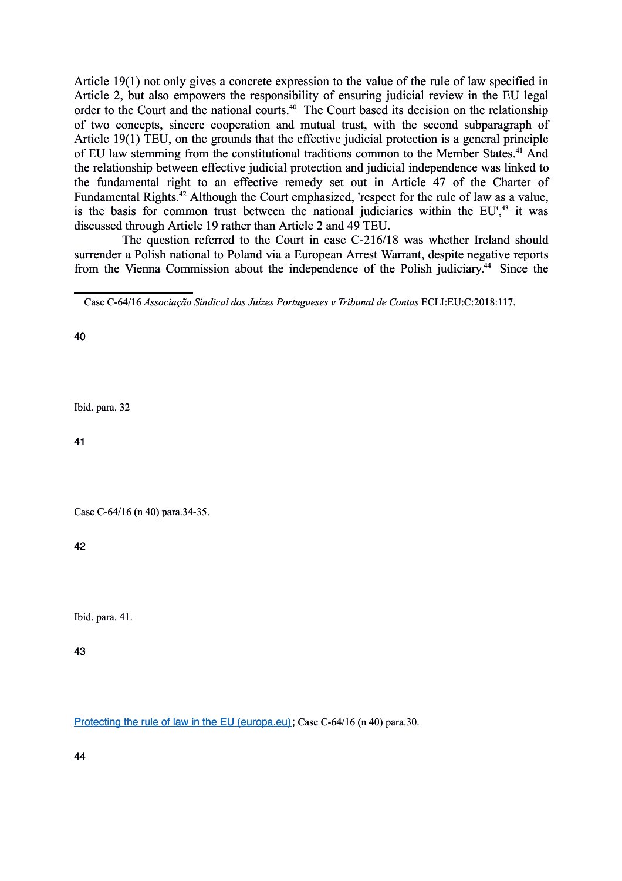Article 19(1) not only gives a concrete expression to the value of the rule of law specified in Article 2, but also empowers the responsibility of ensuring judicial review in the EU legal order to the Court and the national courts.<sup>[40](#page-13-0)</sup> The Court based its decision on the relationship of two concepts, sincere cooperation and mutual trust, with the second subparagraph of Article 19(1) TEU, on the grounds that the effective judicial protection is a general principle of EU law stemming from the constitutional traditions common to the Member States.<sup>[41](#page-13-1)</sup> And the relationship between effective judicial protection and judicial independence was linked to the fundamental right to an effective remedy set out in Article 47 of the Charter of Fundamental Rights.<sup>[42](#page-13-2)</sup> Although the Court emphasized, 'respect for the rule of law as a value, is the basis for common trust between the national judiciaries within the  $EU^{\{4\}}$  it was discussed through Article 19 rather than Article 2 and 49 TEU.

The question referred to the Court in case C-216/18 was whether Ireland should surrender a Polish national to Poland via a European Arrest Warrant, despite negative reports from the Vienna Commission about the independence of the Polish judiciary.<sup>[44](#page-13-4)</sup> Since the

<span id="page-13-0"></span>40

Ibid. para. 32

<span id="page-13-1"></span>41

Case C-64/16 (n 40) para.34-35.

<span id="page-13-2"></span>42

Ibid. para. 41.

<span id="page-13-3"></span>43

<span id="page-13-4"></span>[Protecting the rule of law in the EU \(europa.eu\);](about:blank) Case C-64/16 (n 40) para.30.

Case C-64/16 *Associação Sindical dos Juízes Portugueses v Tribunal de Contas* ECLI:EU:C:2018:117.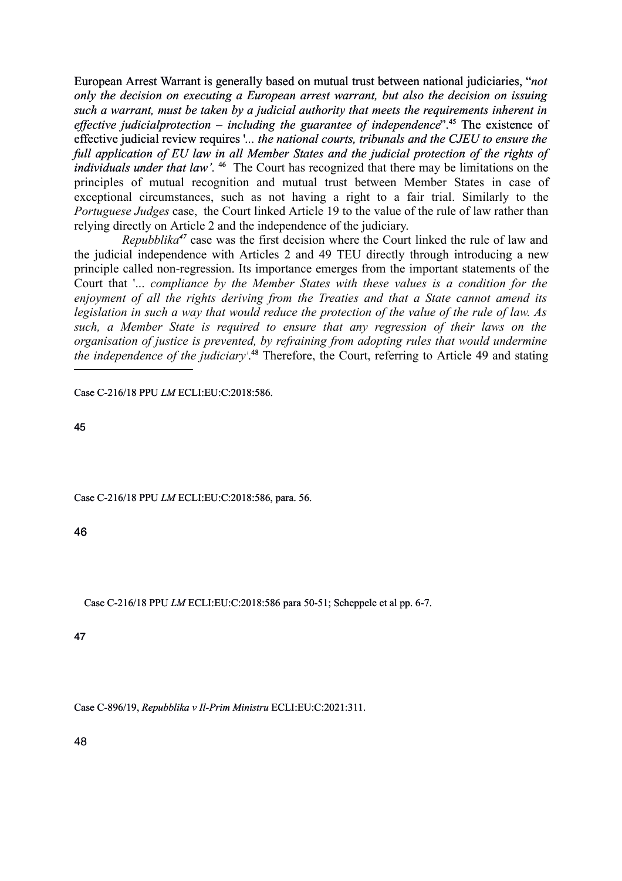European Arrest Warrant is generally based on mutual trust between national judiciaries, "*not only the decision on executing a European arrest warrant, but also the decision on issuing such a warrant, must be taken by a judicial authority that meets the requirements inherent in effective judicialprotection – including the guarantee of independence*".[45](#page-14-0) The existence of effective judicial review requires '*... the national courts, tribunals and the CJEU to ensure the full application of EU law in all Member States and the judicial protection of the rights of* individuals under that law'.<sup>[46](#page-14-1)</sup> The Court has recognized that there may be limitations on the principles of mutual recognition and mutual trust between Member States in case of exceptional circumstances, such as not having a right to a fair trial. Similarly to the *Portuguese Judges* case, the Court linked Article 19 to the value of the rule of law rather than relying directly on Article 2 and the independence of the judiciary.

*Repubblika[47](#page-14-2)* case was the first decision where the Court linked the rule of law and the judicial independence with Articles 2 and 49 TEU directly through introducing a new principle called non-regression. Its importance emerges from the important statements of the Court that '... *compliance by the Member States with these values is a condition for the enjoyment of all the rights deriving from the Treaties and that a State cannot amend its legislation in such a way that would reduce the protection of the value of the rule of law. As such, a Member State is required to ensure that any regression of their laws on the organisation of justice is prevented, by refraining from adopting rules that would undermine the independence of the judiciary'*. [48](#page-14-3) Therefore, the Court, referring to Article 49 and stating

Case C-216/18 PPU *LM* ECLI:EU:C:2018:586.

<span id="page-14-0"></span>45

Case C-216/18 PPU *LM* ECLI:EU:C:2018:586, para. 56.

<span id="page-14-1"></span>46

Case C-216/18 PPU *LM* ECLI:EU:C:2018:586 para 50-51; Scheppele et al pp. 6-7.

<span id="page-14-2"></span>47

<span id="page-14-3"></span>Case C-896/19, *Repubblika v Il-Prim Ministru* ECLI:EU:C:2021:311.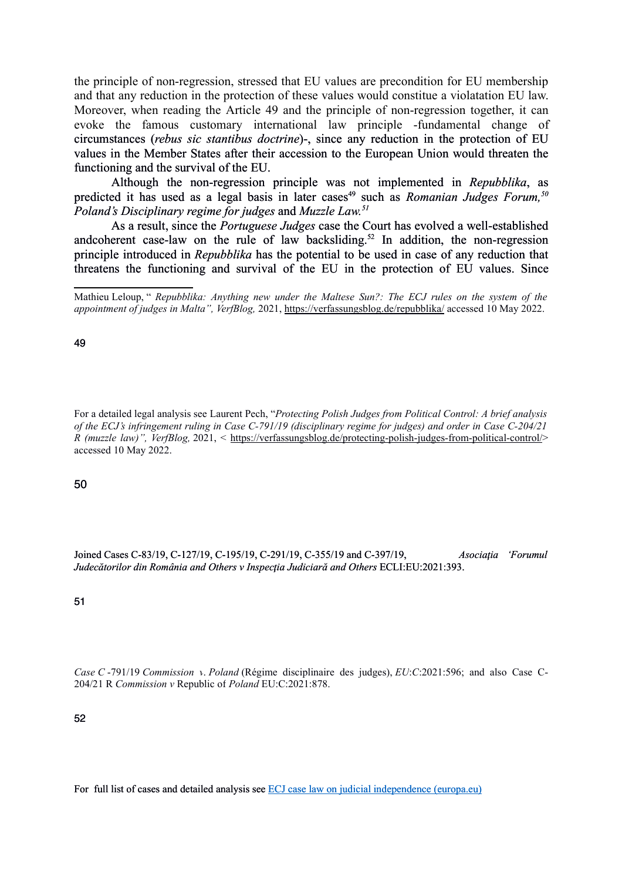the principle of non-regression, stressed that EU values are precondition for EU membership and that any reduction in the protection of these values would constitue a violatation EU law. Moreover, when reading the Article 49 and the principle of non-regression together, it can evoke the famous customary international law principle -fundamental change of circumstances (*rebus sic stantibus doctrine*)-, since any reduction in the protection of EU values in the Member States after their accession to the European Union would threaten the functioning and the survival of the EU.

Although the non-regression principle was not implemented in *Repubblika*, as predicted it has used as a legal basis in later cases<sup>[49](#page-15-0)</sup> such as *Romanian Judges Forum*,<sup>[50](#page-15-1)</sup> *Poland's Disciplinary regime for judges* and *Muzzle Law.[51](#page-15-2)*

As a result, since the *Portuguese Judges* case the Court has evolved a well-established andcoherent case-law on the rule of law backsliding.<sup>[52](#page-15-3)</sup> In addition, the non-regression principle introduced in *Repubblika* has the potential to be used in case of any reduction that threatens the functioning and survival of the EU in the protection of EU values. Since

<span id="page-15-0"></span>49

For a detailed legal analysis see Laurent Pech, "*Protecting Polish Judges from Political Control: A brief analysis of the ECJ's infringement ruling in Case C-791/19 (disciplinary regime for judges) and order in Case C-204/21 R (muzzle law)", VerfBlog,* 2021, < [https://verfassungsblog.de/protecting-polish-judges-from-political-control/>](about:blank) accessed 10 May 2022.

<span id="page-15-1"></span>50

Joined Cases C-83/19, C-127/19, C-195/19, C-291/19, C-355/19 and C-397/19, *Asociaţia 'Forumul Judecătorilor din România and Others v Inspecţia Judiciară and Others* ECLI:EU:2021:393.

<span id="page-15-2"></span>51

*Case C* -791/19 *Commission v*. *Poland* (Régime disciplinaire des judges), *EU*:*C*:2021:596; and also Case C-204/21 R *Commission v* Republic of *Poland* EU:C:2021:878.

<span id="page-15-3"></span>52

For full list of cases and detailed analysis see [ECJ case law on judicial independence \(europa.eu\)](about:blank)

Mathieu Leloup, " *Repubblika: Anything new under the Maltese Sun?: The ECJ rules on the system of the appointment of judges in Malta", VerfBlog,* 2021, [https://verfassungsblog.de/repubblika/](about:blank) accessed 10 May 2022.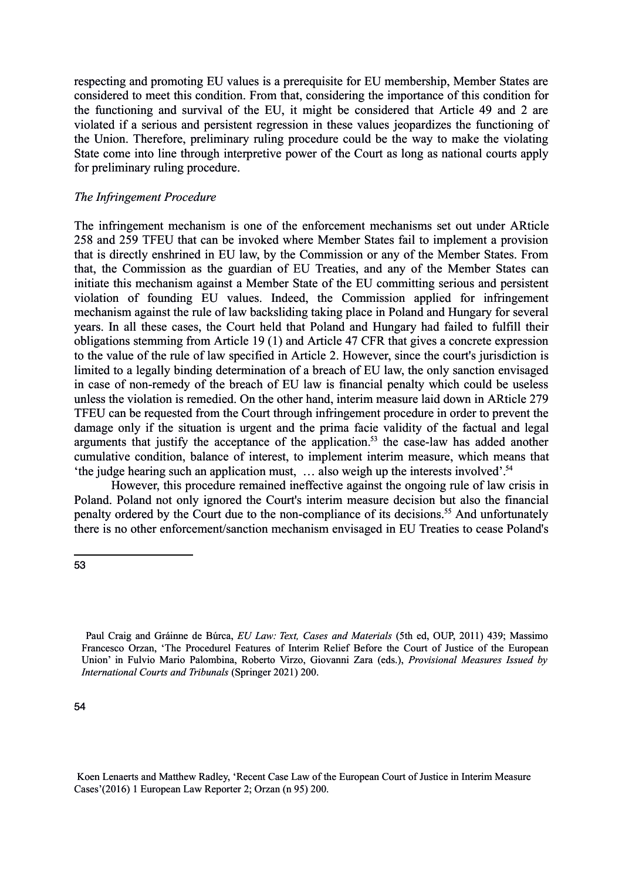respecting and promoting EU values is a prerequisite for EU membership, Member States are considered to meet this condition. From that, considering the importance of this condition for the functioning and survival of the EU, it might be considered that Article 49 and 2 are violated if a serious and persistent regression in these values jeopardizes the functioning of the Union. Therefore, preliminary ruling procedure could be the way to make the violating State come into line through interpretive power of the Court as long as national courts apply for preliminary ruling procedure.

#### *The Infringement Procedure*

The infringement mechanism is one of the enforcement mechanisms set out under ARticle 258 and 259 TFEU that can be invoked where Member States fail to implement a provision that is directly enshrined in EU law, by the Commission or any of the Member States. From that, the Commission as the guardian of EU Treaties, and any of the Member States can initiate this mechanism against a Member State of the EU committing serious and persistent violation of founding EU values. Indeed, the Commission applied for infringement mechanism against the rule of law backsliding taking place in Poland and Hungary for several years. In all these cases, the Court held that Poland and Hungary had failed to fulfill their obligations stemming from Article 19 (1) and Article 47 CFR that gives a concrete expression to the value of the rule of law specified in Article 2. However, since the court's jurisdiction is limited to a legally binding determination of a breach of EU law, the only sanction envisaged in case of non-remedy of the breach of EU law is financial penalty which could be useless unless the violation is remedied. On the other hand, interim measure laid down in ARticle 279 TFEU can be requested from the Court through infringement procedure in order to prevent the damage only if the situation is urgent and the prima facie validity of the factual and legal arguments that justify the acceptance of the application.<sup>[53](#page-16-0)</sup> the case-law has added another cumulative condition, balance of interest, to implement interim measure, which means that 'the judge hearing such an application must, ... also weigh up the interests involved'.<sup>[54](#page-16-1)</sup>

However, this procedure remained ineffective against the ongoing rule of law crisis in Poland. Poland not only ignored the Court's interim measure decision but also the financial penalty ordered by the Court due to the non-compliance of its decisions.<sup>55</sup> And unfortunately there is no other enforcement/sanction mechanism envisaged in EU Treaties to cease Poland's

Koen Lenaerts and Matthew Radley, 'Recent Case Law of the European Court of Justice in Interim Measure Cases'(2016) 1 European Law Reporter 2; Orzan (n 95) 200.

<span id="page-16-0"></span><sup>53</sup>

<span id="page-16-1"></span>Paul Craig and Gráinne de Búrca, *EU Law: Text, Cases and Materials* (5th ed, OUP, 2011) 439; Massimo Francesco Orzan, 'The Procedurel Features of Interim Relief Before the Court of Justice of the European Union' in Fulvio Mario Palombina, Roberto Virzo, Giovanni Zara (eds.), *Provisional Measures Issued by International Courts and Tribunals* (Springer 2021) 200.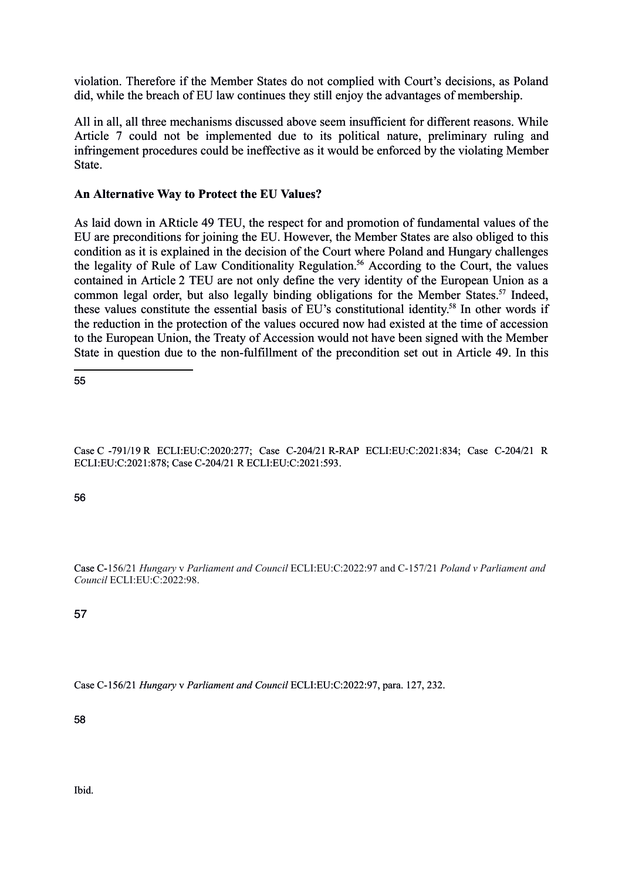violation. Therefore if the Member States do not complied with Court's decisions, as Poland did, while the breach of EU law continues they still enjoy the advantages of membership.

All in all, all three mechanisms discussed above seem insufficient for different reasons. While Article 7 could not be implemented due to its political nature, preliminary ruling and infringement procedures could be ineffective as it would be enforced by the violating Member State.

## **An Alternative Way to Protect the EU Values?**

As laid down in ARticle 49 TEU, the respect for and promotion of fundamental values of the EU are preconditions for joining the EU. However, the Member States are also obliged to this condition as it is explained in the decision of the Court where Poland and Hungary challenges the legality of Rule of Law Conditionality Regulation.<sup>[56](#page-17-0)</sup> According to the Court, the values contained in Article 2 TEU are not only define the very identity of the European Union as a common legal order, but also legally binding obligations for the Member States.<sup>[57](#page-17-1)</sup> Indeed, these values constitute the essential basis of EU's constitutional identity.[58](#page-17-2) In other words if the reduction in the protection of the values occured now had existed at the time of accession to the European Union, the Treaty of Accession would not have been signed with the Member State in question due to the non-fulfillment of the precondition set out in Article 49. In this

55

Case C -791/19 R ECLI:EU:C:2020:277; Case C-204/21 R-RAP ECLI:EU:C:2021:834; Case C-204/21 R ECLI:EU:C:2021:878; Case C-204/21 R ECLI:EU:C:2021:593.

<span id="page-17-0"></span>56

Case C-156/21 *Hungary* v *Parliament and Council* ECLI:EU:C:2022:97 and C-157/21 *Poland v Parliament and Council* ECLI:EU:C:2022:98.

<span id="page-17-1"></span>57

Case C-156/21 *Hungary* v *Parliament and Council* ECLI:EU:C:2022:97, para. 127, 232.

<span id="page-17-2"></span>58

Ibid.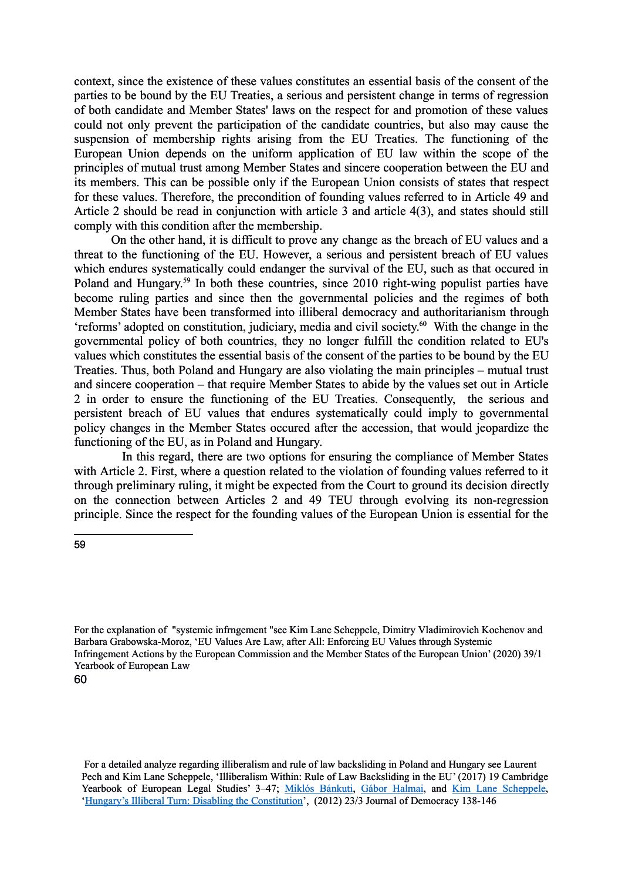context, since the existence of these values constitutes an essential basis of the consent of the parties to be bound by the EU Treaties, a serious and persistent change in terms of regression of both candidate and Member States' laws on the respect for and promotion of these values could not only prevent the participation of the candidate countries, but also may cause the suspension of membership rights arising from the EU Treaties. The functioning of the European Union depends on the uniform application of EU law within the scope of the principles of mutual trust among Member States and sincere cooperation between the EU and its members. This can be possible only if the European Union consists of states that respect for these values. Therefore, the precondition of founding values referred to in Article 49 and Article 2 should be read in conjunction with article 3 and article 4(3), and states should still comply with this condition after the membership.

On the other hand, it is difficult to prove any change as the breach of EU values and a threat to the functioning of the EU. However, a serious and persistent breach of EU values which endures systematically could endanger the survival of the EU, such as that occured in Poland and Hungary.<sup>[59](#page-18-0)</sup> In both these countries, since 2010 right-wing populist parties have become ruling parties and since then the governmental policies and the regimes of both Member States have been transformed into illiberal democracy and authoritarianism through 'reforms' adopted on constitution, judiciary, media and civil society.[60](#page-18-1) With the change in the governmental policy of both countries, they no longer fulfill the condition related to EU's values which constitutes the essential basis of the consent of the parties to be bound by the EU Treaties. Thus, both Poland and Hungary are also violating the main principles – mutual trust and sincere cooperation – that require Member States to abide by the values set out in Article 2 in order to ensure the functioning of the EU Treaties. Consequently, the serious and persistent breach of EU values that endures systematically could imply to governmental policy changes in the Member States occured after the accession, that would jeopardize the functioning of the EU, as in Poland and Hungary.

In this regard, there are two options for ensuring the compliance of Member States with Article 2. First, where a question related to the violation of founding values referred to it through preliminary ruling, it might be expected from the Court to ground its decision directly on the connection between Articles 2 and 49 TEU through evolving its non-regression principle. Since the respect for the founding values of the European Union is essential for the

<span id="page-18-0"></span><sup>59</sup>

For the explanation of "systemic infrngement "see Kim Lane Scheppele, Dimitry Vladimirovich Kochenov and Barbara Grabowska-Moroz, 'EU Values Are Law, after All: Enforcing EU Values through Systemic Infringement Actions by the European Commission and the Member States of the European Union' (2020) 39/1 Yearbook of European Law

<span id="page-18-1"></span><sup>60</sup>

For a detailed analyze regarding illiberalism and rule of law backsliding in Poland and Hungary see Laurent Pech and Kim Lane Scheppele, 'Illiberalism Within: Rule of Law Backsliding in the EU' (2017) 19 Cambridge Yearbook of European Legal Studies' 3-47; [Miklós Bánkuti,](about:blank) [Gábor Halmai,](about:blank) and [Kim Lane Scheppele,](about:blank) ['Hungary's Illiberal Turn: Disabling the Constitution'](about:blank), (2012) 23/3 Journal of Democracy 138-146